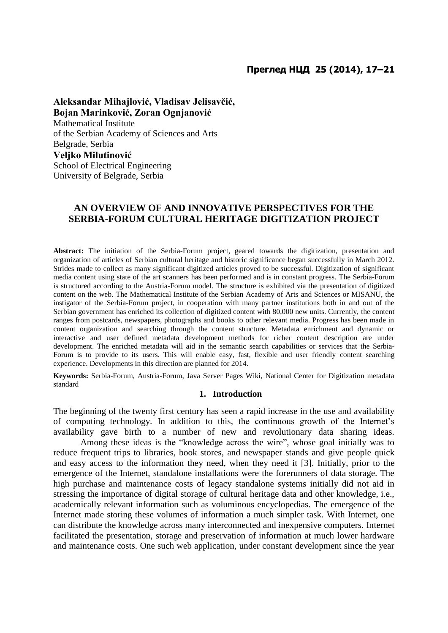# **Преглед НЦД 25 (2014), 17–21**

**Aleksandar Mihajlović, Vladisav Jelisavčić, Bojan Marinković, Zoran Ognjanović** Mathematical Institute of the Serbian Academy of Sciences and Arts Belgrade, Serbia **Veljko Milutinović** School of Electrical Engineering University of Belgrade, Serbia

# **AN OVERVIEW OF AND INNOVATIVE PERSPECTIVES FOR THE SERBIA-FORUM CULTURAL HERITAGE DIGITIZATION PROJECT**

**Abstract:** The initiation of the Serbia-Forum project, geared towards the digitization, presentation and organization of articles of Serbian cultural heritage and historic significance began successfully in March 2012. Strides made to collect as many significant digitized articles proved to be successful. Digitization of significant media content using state of the art scanners has been performed and is in constant progress. The Serbia-Forum is structured according to the Austria-Forum model. The structure is exhibited via the presentation of digitized content on the web. The Mathematical Institute of the Serbian Academy of Arts and Sciences or MISANU, the instigator of the Serbia-Forum project, in cooperation with many partner institutions both in and out of the Serbian government has enriched its collection of digitized content with 80,000 new units. Currently, the content ranges from postcards, newspapers, photographs and books to other relevant media. Progress has been made in content organization and searching through the content structure. Metadata enrichment and dynamic or interactive and user defined metadata development methods for richer content description are under development. The enriched metadata will aid in the semantic search capabilities or services that the Serbia-Forum is to provide to its users. This will enable easy, fast, flexible and user friendly content searching experience. Developments in this direction are planned for 2014.

**Keywords:** Serbia-Forum, Austria-Forum, Java Server Pages Wiki, National Center for Digitization metadata standard

# **1. Introduction**

The beginning of the twenty first century has seen a rapid increase in the use and availability of computing technology. In addition to this, the continuous growth of the Internet's availability gave birth to a number of new and revolutionary data sharing ideas.

Among these ideas is the "knowledge across the wire", whose goal initially was to reduce frequent trips to libraries, book stores, and newspaper stands and give people quick and easy access to the information they need, when they need it [3]. Initially, prior to the emergence of the Internet, standalone installations were the forerunners of data storage. The high purchase and maintenance costs of legacy standalone systems initially did not aid in stressing the importance of digital storage of cultural heritage data and other knowledge, i.e., academically relevant information such as voluminous encyclopedias. The emergence of the Internet made storing these volumes of information a much simpler task. With Internet, one can distribute the knowledge across many interconnected and inexpensive computers. Internet facilitated the presentation, storage and preservation of information at much lower hardware and maintenance costs. One such web application, under constant development since the year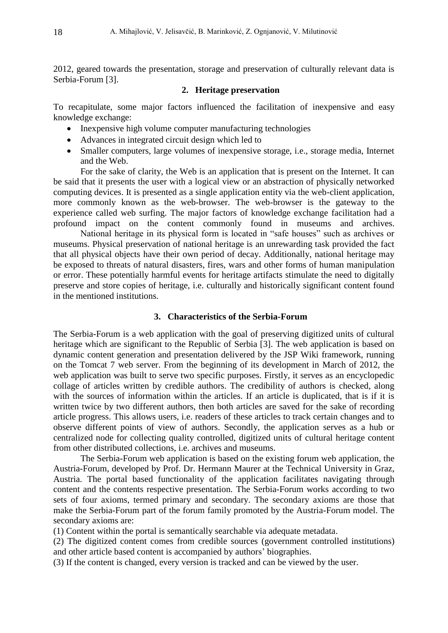2012, geared towards the presentation, storage and preservation of culturally relevant data is Serbia-Forum [3].

#### **2. Heritage preservation**

To recapitulate, some major factors influenced the facilitation of inexpensive and easy knowledge exchange:

- Inexpensive high volume computer manufacturing technologies
- Advances in integrated circuit design which led to
- Smaller computers, large volumes of inexpensive storage, i.e., storage media, Internet and the Web.

For the sake of clarity, the Web is an application that is present on the Internet. It can be said that it presents the user with a logical view or an abstraction of physically networked computing devices. It is presented as a single application entity via the web-client application, more commonly known as the web-browser. The web-browser is the gateway to the experience called web surfing. The major factors of knowledge exchange facilitation had a profound impact on the content commonly found in museums and archives.

National heritage in its physical form is located in "safe houses" such as archives or museums. Physical preservation of national heritage is an unrewarding task provided the fact that all physical objects have their own period of decay. Additionally, national heritage may be exposed to threats of natural disasters, fires, wars and other forms of human manipulation or error. These potentially harmful events for heritage artifacts stimulate the need to digitally preserve and store copies of heritage, i.e. culturally and historically significant content found in the mentioned institutions.

# **3. Characteristics of the Serbia-Forum**

The Serbia-Forum is a web application with the goal of preserving digitized units of cultural heritage which are significant to the Republic of Serbia [3]. The web application is based on dynamic content generation and presentation delivered by the JSP Wiki framework, running on the Tomcat 7 web server. From the beginning of its development in March of 2012, the web application was built to serve two specific purposes. Firstly, it serves as an encyclopedic collage of articles written by credible authors. The credibility of authors is checked, along with the sources of information within the articles. If an article is duplicated, that is if it is written twice by two different authors, then both articles are saved for the sake of recording article progress. This allows users, i.e. readers of these articles to track certain changes and to observe different points of view of authors. Secondly, the application serves as a hub or centralized node for collecting quality controlled, digitized units of cultural heritage content from other distributed collections, i.e. archives and museums.

The Serbia-Forum web application is based on the existing forum web application, the Austria-Forum, developed by Prof. Dr. Hermann Maurer at the Technical University in Graz, Austria. The portal based functionality of the application facilitates navigating through content and the contents respective presentation. The Serbia-Forum works according to two sets of four axioms, termed primary and secondary. The secondary axioms are those that make the Serbia-Forum part of the forum family promoted by the Austria-Forum model. The secondary axioms are:

(1) Content within the portal is semantically searchable via adequate metadata.

(2) The digitized content comes from credible sources (government controlled institutions) and other article based content is accompanied by authors' biographies.

(3) If the content is changed, every version is tracked and can be viewed by the user.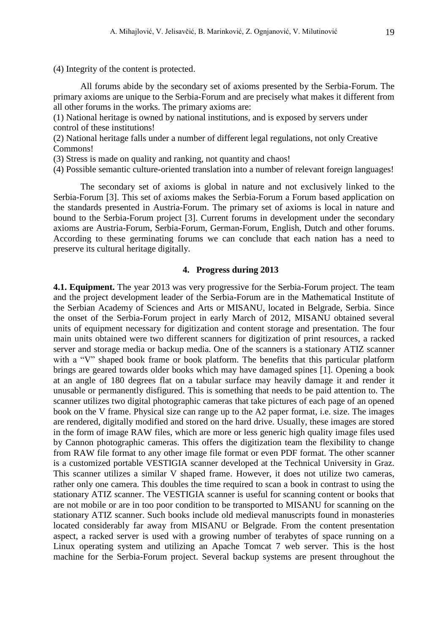(4) Integrity of the content is protected.

All forums abide by the secondary set of axioms presented by the Serbia-Forum. The primary axioms are unique to the Serbia-Forum and are precisely what makes it different from all other forums in the works. The primary axioms are:

(1) National heritage is owned by national institutions, and is exposed by servers under control of these institutions!

(2) National heritage falls under a number of different legal regulations, not only Creative Commons!

(3) Stress is made on quality and ranking, not quantity and chaos!

(4) Possible semantic culture-oriented translation into a number of relevant foreign languages!

The secondary set of axioms is global in nature and not exclusively linked to the Serbia-Forum [3]. This set of axioms makes the Serbia-Forum a Forum based application on the standards presented in Austria-Forum. The primary set of axioms is local in nature and bound to the Serbia-Forum project [3]. Current forums in development under the secondary axioms are Austria-Forum, Serbia-Forum, German-Forum, English, Dutch and other forums. According to these germinating forums we can conclude that each nation has a need to preserve its cultural heritage digitally.

#### **4. Progress during 2013**

**4.1. Equipment.** The year 2013 was very progressive for the Serbia-Forum project. The team and the project development leader of the Serbia-Forum are in the Mathematical Institute of the Serbian Academy of Sciences and Arts or MISANU, located in Belgrade, Serbia. Since the onset of the Serbia-Forum project in early March of 2012, MISANU obtained several units of equipment necessary for digitization and content storage and presentation. The four main units obtained were two different scanners for digitization of print resources, a racked server and storage media or backup media. One of the scanners is a stationary ATIZ scanner with a "V" shaped book frame or book platform. The benefits that this particular platform brings are geared towards older books which may have damaged spines [1]. Opening a book at an angle of 180 degrees flat on a tabular surface may heavily damage it and render it unusable or permanently disfigured. This is something that needs to be paid attention to. The scanner utilizes two digital photographic cameras that take pictures of each page of an opened book on the V frame. Physical size can range up to the A2 paper format, i.e. size. The images are rendered, digitally modified and stored on the hard drive. Usually, these images are stored in the form of image RAW files, which are more or less generic high quality image files used by Cannon photographic cameras. This offers the digitization team the flexibility to change from RAW file format to any other image file format or even PDF format. The other scanner is a customized portable VESTIGIA scanner developed at the Technical University in Graz. This scanner utilizes a similar V shaped frame. However, it does not utilize two cameras, rather only one camera. This doubles the time required to scan a book in contrast to using the stationary ATIZ scanner. The VESTIGIA scanner is useful for scanning content or books that are not mobile or are in too poor condition to be transported to MISANU for scanning on the stationary ATIZ scanner. Such books include old medieval manuscripts found in monasteries located considerably far away from MISANU or Belgrade. From the content presentation aspect, a racked server is used with a growing number of terabytes of space running on a Linux operating system and utilizing an Apache Tomcat 7 web server. This is the host machine for the Serbia-Forum project. Several backup systems are present throughout the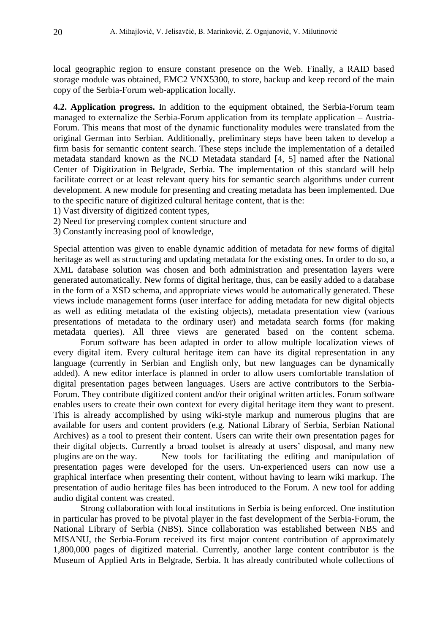local geographic region to ensure constant presence on the Web. Finally, a RAID based storage module was obtained, EMC2 VNX5300, to store, backup and keep record of the main copy of the Serbia-Forum web-application locally.

**4.2. Application progress.** In addition to the equipment obtained, the Serbia-Forum team managed to externalize the Serbia-Forum application from its template application – Austria-Forum. This means that most of the dynamic functionality modules were translated from the original German into Serbian. Additionally, preliminary steps have been taken to develop a firm basis for semantic content search. These steps include the implementation of a detailed metadata standard known as the NCD Metadata standard [4, 5] named after the National Center of Digitization in Belgrade, Serbia. The implementation of this standard will help facilitate correct or at least relevant query hits for semantic search algorithms under current development. A new module for presenting and creating metadata has been implemented. Due to the specific nature of digitized cultural heritage content, that is the:

- 1) Vast diversity of digitized content types,
- 2) Need for preserving complex content structure and
- 3) Constantly increasing pool of knowledge,

Special attention was given to enable dynamic addition of metadata for new forms of digital heritage as well as structuring and updating metadata for the existing ones. In order to do so, a XML database solution was chosen and both administration and presentation layers were generated automatically. New forms of digital heritage, thus, can be easily added to a database in the form of a XSD schema, and appropriate views would be automatically generated. These views include management forms (user interface for adding metadata for new digital objects as well as editing metadata of the existing objects), metadata presentation view (various presentations of metadata to the ordinary user) and metadata search forms (for making metadata queries). All three views are generated based on the content schema.

Forum software has been adapted in order to allow multiple localization views of every digital item. Every cultural heritage item can have its digital representation in any language (currently in Serbian and English only, but new languages can be dynamically added). A new editor interface is planned in order to allow users comfortable translation of digital presentation pages between languages. Users are active contributors to the Serbia-Forum. They contribute digitized content and/or their original written articles. Forum software enables users to create their own context for every digital heritage item they want to present. This is already accomplished by using wiki-style markup and numerous plugins that are available for users and content providers (e.g. National Library of Serbia, Serbian National Archives) as a tool to present their content. Users can write their own presentation pages for their digital objects. Currently a broad toolset is already at users' disposal, and many new plugins are on the way. New tools for facilitating the editing and manipulation of presentation pages were developed for the users. Un-experienced users can now use a graphical interface when presenting their content, without having to learn wiki markup. The presentation of audio heritage files has been introduced to the Forum. A new tool for adding audio digital content was created.

Strong collaboration with local institutions in Serbia is being enforced. One institution in particular has proved to be pivotal player in the fast development of the Serbia-Forum, the National Library of Serbia (NBS). Since collaboration was established between NBS and MISANU, the Serbia-Forum received its first major content contribution of approximately 1,800,000 pages of digitized material. Currently, another large content contributor is the Museum of Applied Arts in Belgrade, Serbia. It has already contributed whole collections of